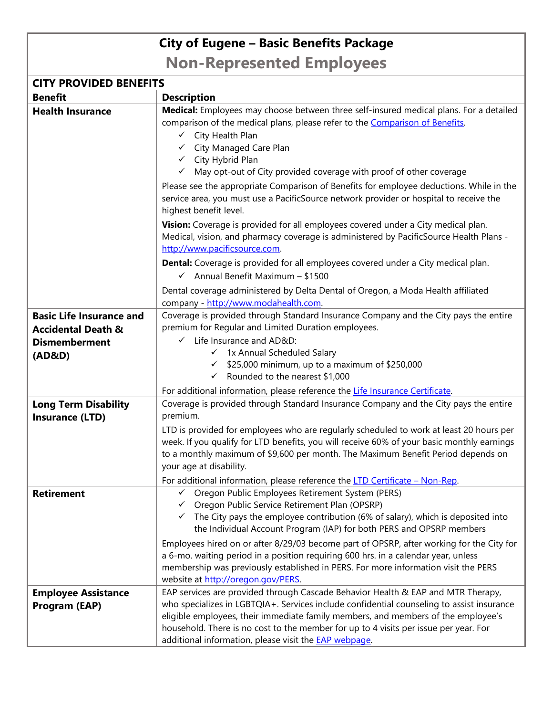## **City of Eugene – Basic Benefits Package**

**Non-Represented Employees**

| <b>CITY PROVIDED BENEFITS</b>                                                                      |                                                                                                                                                                                                                                                                                                                                                                                                                             |  |
|----------------------------------------------------------------------------------------------------|-----------------------------------------------------------------------------------------------------------------------------------------------------------------------------------------------------------------------------------------------------------------------------------------------------------------------------------------------------------------------------------------------------------------------------|--|
| <b>Benefit</b>                                                                                     | <b>Description</b>                                                                                                                                                                                                                                                                                                                                                                                                          |  |
| <b>Health Insurance</b>                                                                            | Medical: Employees may choose between three self-insured medical plans. For a detailed<br>comparison of the medical plans, please refer to the Comparison of Benefits.<br>$\checkmark$ City Health Plan<br>← City Managed Care Plan<br>$\checkmark$ City Hybrid Plan<br>√ May opt-out of City provided coverage with proof of other coverage                                                                                |  |
|                                                                                                    | Please see the appropriate Comparison of Benefits for employee deductions. While in the<br>service area, you must use a PacificSource network provider or hospital to receive the<br>highest benefit level.                                                                                                                                                                                                                 |  |
|                                                                                                    | Vision: Coverage is provided for all employees covered under a City medical plan.<br>Medical, vision, and pharmacy coverage is administered by PacificSource Health Plans -<br>http://www.pacificsource.com.                                                                                                                                                                                                                |  |
|                                                                                                    | <b>Dental:</b> Coverage is provided for all employees covered under a City medical plan.<br>$\checkmark$ Annual Benefit Maximum - \$1500                                                                                                                                                                                                                                                                                    |  |
|                                                                                                    | Dental coverage administered by Delta Dental of Oregon, a Moda Health affiliated<br>company - http://www.modahealth.com.                                                                                                                                                                                                                                                                                                    |  |
| <b>Basic Life Insurance and</b><br><b>Accidental Death &amp;</b><br><b>Dismemberment</b><br>(AD&D) | Coverage is provided through Standard Insurance Company and the City pays the entire<br>premium for Regular and Limited Duration employees.<br>$\checkmark$ Life Insurance and AD&D:<br>√ 1x Annual Scheduled Salary<br>$\checkmark$ \$25,000 minimum, up to a maximum of \$250,000<br>$\checkmark$ Rounded to the nearest \$1,000                                                                                          |  |
|                                                                                                    | For additional information, please reference the Life Insurance Certificate.                                                                                                                                                                                                                                                                                                                                                |  |
| <b>Long Term Disability</b><br><b>Insurance (LTD)</b>                                              | Coverage is provided through Standard Insurance Company and the City pays the entire<br>premium.                                                                                                                                                                                                                                                                                                                            |  |
|                                                                                                    | LTD is provided for employees who are regularly scheduled to work at least 20 hours per<br>week. If you qualify for LTD benefits, you will receive 60% of your basic monthly earnings<br>to a monthly maximum of \$9,600 per month. The Maximum Benefit Period depends on<br>your age at disability.                                                                                                                        |  |
|                                                                                                    | For additional information, please reference the LTD Certificate - Non-Rep.                                                                                                                                                                                                                                                                                                                                                 |  |
| <b>Retirement</b>                                                                                  | Oregon Public Employees Retirement System (PERS)<br>Oregon Public Service Retirement Plan (OPSRP)<br>$\checkmark$ The City pays the employee contribution (6% of salary), which is deposited into<br>the Individual Account Program (IAP) for both PERS and OPSRP members                                                                                                                                                   |  |
|                                                                                                    | Employees hired on or after 8/29/03 become part of OPSRP, after working for the City for<br>a 6-mo. waiting period in a position requiring 600 hrs. in a calendar year, unless<br>membership was previously established in PERS. For more information visit the PERS<br>website at http://oregon.gov/PERS.                                                                                                                  |  |
| <b>Employee Assistance</b><br><b>Program (EAP)</b>                                                 | EAP services are provided through Cascade Behavior Health & EAP and MTR Therapy,<br>who specializes in LGBTQIA+. Services include confidential counseling to assist insurance<br>eligible employees, their immediate family members, and members of the employee's<br>household. There is no cost to the member for up to 4 visits per issue per year. For<br>additional information, please visit the <b>EAP webpage</b> . |  |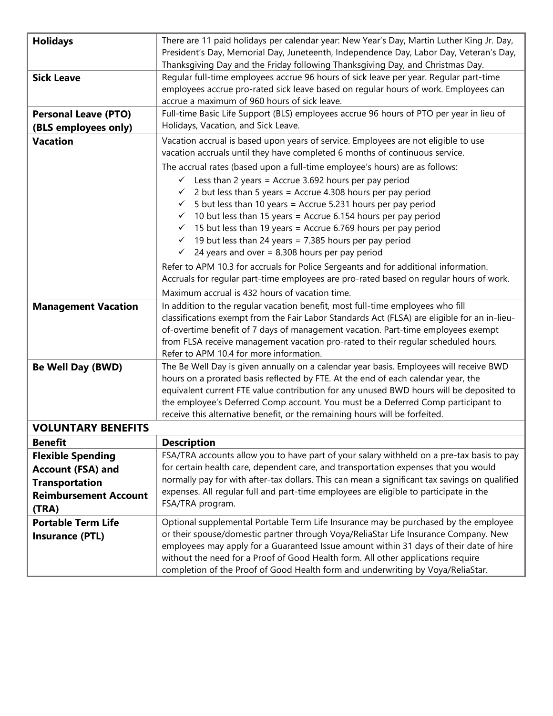| <b>Holidays</b>                                                                                                        | There are 11 paid holidays per calendar year: New Year's Day, Martin Luther King Jr. Day,<br>President's Day, Memorial Day, Juneteenth, Independence Day, Labor Day, Veteran's Day,<br>Thanksgiving Day and the Friday following Thanksgiving Day, and Christmas Day.                                                                                                                                                                                                                                                                                                                                                                                                                                                                                                                                                                                                                                                             |
|------------------------------------------------------------------------------------------------------------------------|-----------------------------------------------------------------------------------------------------------------------------------------------------------------------------------------------------------------------------------------------------------------------------------------------------------------------------------------------------------------------------------------------------------------------------------------------------------------------------------------------------------------------------------------------------------------------------------------------------------------------------------------------------------------------------------------------------------------------------------------------------------------------------------------------------------------------------------------------------------------------------------------------------------------------------------|
| <b>Sick Leave</b>                                                                                                      | Regular full-time employees accrue 96 hours of sick leave per year. Regular part-time<br>employees accrue pro-rated sick leave based on regular hours of work. Employees can<br>accrue a maximum of 960 hours of sick leave.                                                                                                                                                                                                                                                                                                                                                                                                                                                                                                                                                                                                                                                                                                      |
| <b>Personal Leave (PTO)</b><br>(BLS employees only)                                                                    | Full-time Basic Life Support (BLS) employees accrue 96 hours of PTO per year in lieu of<br>Holidays, Vacation, and Sick Leave.                                                                                                                                                                                                                                                                                                                                                                                                                                                                                                                                                                                                                                                                                                                                                                                                    |
| <b>Vacation</b>                                                                                                        | Vacation accrual is based upon years of service. Employees are not eligible to use<br>vacation accruals until they have completed 6 months of continuous service.                                                                                                                                                                                                                                                                                                                                                                                                                                                                                                                                                                                                                                                                                                                                                                 |
| <b>Management Vacation</b>                                                                                             | The accrual rates (based upon a full-time employee's hours) are as follows:<br>$\checkmark$ Less than 2 years = Accrue 3.692 hours per pay period<br>$\checkmark$ 2 but less than 5 years = Accrue 4.308 hours per pay period<br>$\checkmark$ 5 but less than 10 years = Accrue 5.231 hours per pay period<br>$\checkmark$ 10 but less than 15 years = Accrue 6.154 hours per pay period<br>$\checkmark$ 15 but less than 19 years = Accrue 6.769 hours per pay period<br>$\checkmark$ 19 but less than 24 years = 7.385 hours per pay period<br>$\checkmark$ 24 years and over = 8.308 hours per pay period<br>Refer to APM 10.3 for accruals for Police Sergeants and for additional information.<br>Accruals for regular part-time employees are pro-rated based on regular hours of work.<br>Maximum accrual is 432 hours of vacation time.<br>In addition to the regular vacation benefit, most full-time employees who fill |
|                                                                                                                        | classifications exempt from the Fair Labor Standards Act (FLSA) are eligible for an in-lieu-<br>of-overtime benefit of 7 days of management vacation. Part-time employees exempt<br>from FLSA receive management vacation pro-rated to their regular scheduled hours.<br>Refer to APM 10.4 for more information.                                                                                                                                                                                                                                                                                                                                                                                                                                                                                                                                                                                                                  |
| <b>Be Well Day (BWD)</b>                                                                                               | The Be Well Day is given annually on a calendar year basis. Employees will receive BWD<br>hours on a prorated basis reflected by FTE. At the end of each calendar year, the<br>equivalent current FTE value contribution for any unused BWD hours will be deposited to<br>the employee's Deferred Comp account. You must be a Deferred Comp participant to<br>receive this alternative benefit, or the remaining hours will be forfeited.                                                                                                                                                                                                                                                                                                                                                                                                                                                                                         |
| <b>VOLUNTARY BENEFITS</b>                                                                                              |                                                                                                                                                                                                                                                                                                                                                                                                                                                                                                                                                                                                                                                                                                                                                                                                                                                                                                                                   |
| <b>Benefit</b>                                                                                                         | <b>Description</b>                                                                                                                                                                                                                                                                                                                                                                                                                                                                                                                                                                                                                                                                                                                                                                                                                                                                                                                |
| <b>Flexible Spending</b><br><b>Account (FSA) and</b><br><b>Transportation</b><br><b>Reimbursement Account</b><br>(TRA) | FSA/TRA accounts allow you to have part of your salary withheld on a pre-tax basis to pay<br>for certain health care, dependent care, and transportation expenses that you would<br>normally pay for with after-tax dollars. This can mean a significant tax savings on qualified<br>expenses. All regular full and part-time employees are eligible to participate in the<br>FSA/TRA program.                                                                                                                                                                                                                                                                                                                                                                                                                                                                                                                                    |
| <b>Portable Term Life</b><br><b>Insurance (PTL)</b>                                                                    | Optional supplemental Portable Term Life Insurance may be purchased by the employee<br>or their spouse/domestic partner through Voya/ReliaStar Life Insurance Company. New<br>employees may apply for a Guaranteed Issue amount within 31 days of their date of hire<br>without the need for a Proof of Good Health form. All other applications require<br>completion of the Proof of Good Health form and underwriting by Voya/ReliaStar.                                                                                                                                                                                                                                                                                                                                                                                                                                                                                       |